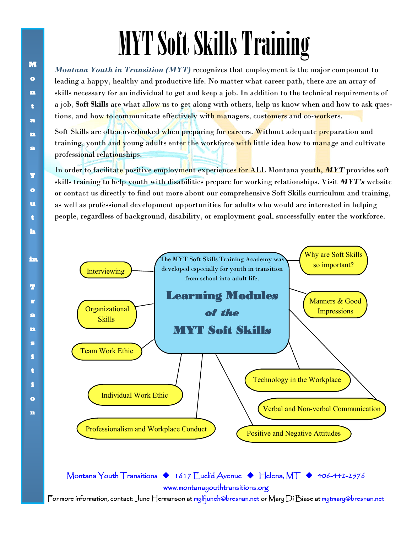## MYT Soft Skills Training

*Montana Youth in Transition (MYT)* recognizes that employment is the major component to leading a happy, healthy and productive life. No matter what career path, there are an array of skills necessary for an individual to get and keep a job. In addition to the technical requirements of a job, **Soft Skills** are what allow us to get along with others, help us know when and how to ask questions, and how to communicate effectively with managers, customers and co-workers.

Soft Skills are often overlooked when preparing for careers. Without adequate preparation and training, youth and young adults enter the workforce with little idea how to manage and cultivate professional relationships.

In order to facilitate positive employment experiences for ALL Montana youth, *MYT* provides soft skills training to help youth with disabilities prepare for working relationships. Visit *MYT's* website or contact us directly to find out more about our comprehensive Soft Skills curriculum and training, as well as professional development opportunities for adults who would are interested in helping people, regardless of background, disability, or employment goal, successfully enter the workforce.



Montana Youth Transitions ◆ 1617 Euclid Avenue ◆ Helena, MT ◆ 406-442-2576 [www.montanayouthtransitions.org](http://www.montanayouthtransitions.org)  For more information, contact: June Hermanson at mylfjuneh@bresnan.net or Mary Di Biase at mytmary@bresnan.net

**M**